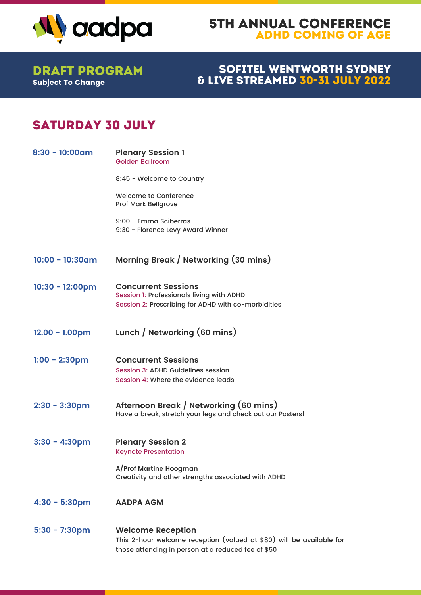

#### 5th Annual Conference Adhd coming of age

Subject To Change Draft Program

#### Sofitel Wentworth Sydney & LIVE STREAMED 30-31 JULY 2022

# SATURDAY 30 JULY

| $8:30 - 10:00$ am         | <b>Plenary Session 1</b><br><b>Golden Ballroom</b>                                                                                                     |
|---------------------------|--------------------------------------------------------------------------------------------------------------------------------------------------------|
|                           | 8:45 - Welcome to Country                                                                                                                              |
|                           | <b>Welcome to Conference</b><br><b>Prof Mark Bellgrove</b>                                                                                             |
|                           | 9:00 - Emma Sciberras<br>9:30 - Florence Levy Award Winner                                                                                             |
| $10:00 - 10:30$ am        | Morning Break / Networking (30 mins)                                                                                                                   |
| $10:30 - 12:00 \text{pm}$ | <b>Concurrent Sessions</b><br>Session 1: Professionals living with ADHD<br>Session 2: Prescribing for ADHD with co-morbidities                         |
| $12.00 - 1.00 \text{pm}$  | Lunch / Networking (60 mins)                                                                                                                           |
| $1:00 - 2:30$ pm          | <b>Concurrent Sessions</b><br>Session 3: ADHD Guidelines session<br>Session 4: Where the evidence leads                                                |
| $2:30 - 3:30$ pm          | Afternoon Break / Networking (60 mins)<br>Have a break, stretch your legs and check out our Posters!                                                   |
| $3:30 - 4:30$ pm          | <b>Plenary Session 2</b><br><b>Keynote Presentation</b>                                                                                                |
|                           | A/Prof Martine Hoogman<br>Creativity and other strengths associated with ADHD                                                                          |
| $4:30 - 5:30$ pm          | <b>AADPA AGM</b>                                                                                                                                       |
| $5:30 - 7:30$ pm          | <b>Welcome Reception</b><br>This 2-hour welcome reception (valued at \$80) will be available for<br>those attending in person at a reduced fee of \$50 |